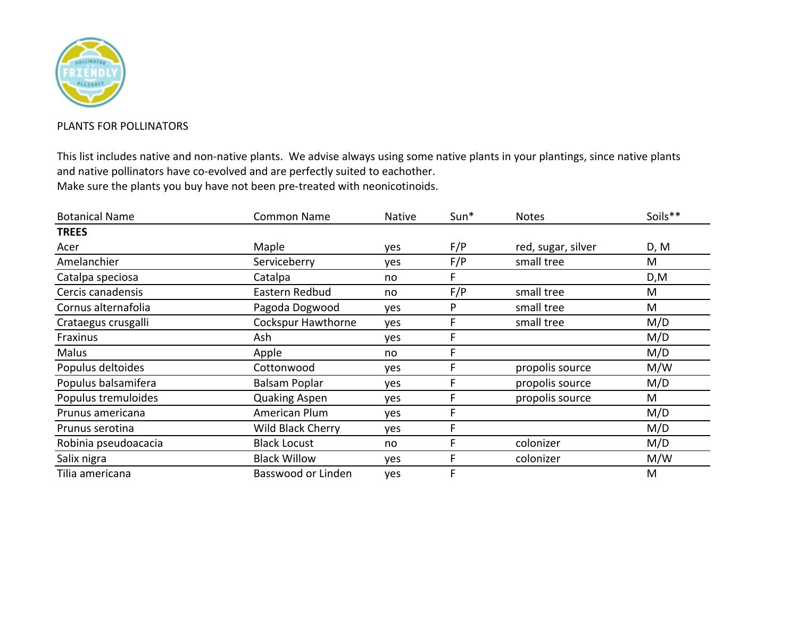

## PLANTS FOR POLLINATORS

This list includes native and non-native plants. We advise always using some native plants in your plantings, since native plants and native pollinators have co-evolved and are perfectly suited to eachother. Make sure the plants you buy have not been pre-treated with neonicotinoids.

| <b>Botanical Name</b> | <b>Common Name</b>        | <b>Native</b> | $Sun*$ | <b>Notes</b>       | Soils** |
|-----------------------|---------------------------|---------------|--------|--------------------|---------|
| <b>TREES</b>          |                           |               |        |                    |         |
| Acer                  | Maple                     | yes           | F/P    | red, sugar, silver | D, M    |
| Amelanchier           | Serviceberry              | yes           | F/P    | small tree         | M       |
| Catalpa speciosa      | Catalpa                   | no            |        |                    | D,M     |
| Cercis canadensis     | Eastern Redbud            | no            | F/P    | small tree         | M       |
| Cornus alternafolia   | Pagoda Dogwood            | yes           | P      | small tree         | M       |
| Crataegus crusgalli   | <b>Cockspur Hawthorne</b> | yes           | F      | small tree         | M/D     |
| Fraxinus              | Ash                       | yes           |        |                    | M/D     |
| Malus                 | Apple                     | no            |        |                    | M/D     |
| Populus deltoides     | Cottonwood                | yes           |        | propolis source    | M/W     |
| Populus balsamifera   | Balsam Poplar             | yes           |        | propolis source    | M/D     |
| Populus tremuloides   | <b>Quaking Aspen</b>      | yes           |        | propolis source    | M       |
| Prunus americana      | American Plum             | yes           | F      |                    | M/D     |
| Prunus serotina       | Wild Black Cherry         | yes           | F      |                    | M/D     |
| Robinia pseudoacacia  | <b>Black Locust</b>       | no            | F      | colonizer          | M/D     |
| Salix nigra           | <b>Black Willow</b>       | yes           |        | colonizer          | M/W     |
| Tilia americana       | Basswood or Linden        | yes           | F      |                    | M       |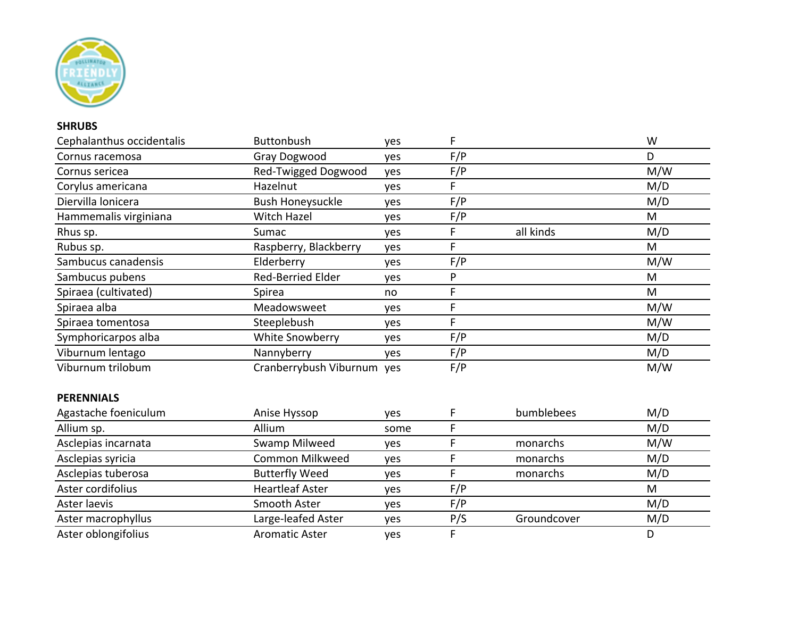

## **SHRUBS**

| Cephalanthus occidentalis | <b>Buttonbush</b>          | yes  | F   |             | W   |
|---------------------------|----------------------------|------|-----|-------------|-----|
| Cornus racemosa           | Gray Dogwood               | yes  | F/P |             | D   |
| Cornus sericea            | Red-Twigged Dogwood        | yes  | F/P |             | M/W |
| Corylus americana         | Hazelnut                   | yes  | F   |             | M/D |
| Diervilla lonicera        | <b>Bush Honeysuckle</b>    | yes  | F/P |             | M/D |
| Hammemalis virginiana     | <b>Witch Hazel</b>         | yes  | F/P |             | M   |
| Rhus sp.                  | Sumac                      | yes  | F   | all kinds   | M/D |
| Rubus sp.                 | Raspberry, Blackberry      | yes  | F   |             | M   |
| Sambucus canadensis       | Elderberry                 | yes  | F/P |             | M/W |
| Sambucus pubens           | Red-Berried Elder          | yes  | P   |             | M   |
| Spiraea (cultivated)      | Spirea                     | no   | F   |             | M   |
| Spiraea alba              | Meadowsweet                | yes  | F   |             | M/W |
| Spiraea tomentosa         | Steeplebush                | yes  | F   |             | M/W |
| Symphoricarpos alba       | White Snowberry            | yes  | F/P |             | M/D |
| Viburnum lentago          | Nannyberry                 | yes  | F/P |             | M/D |
| Viburnum trilobum         | Cranberrybush Viburnum yes |      | F/P |             | M/W |
| <b>PERENNIALS</b>         |                            |      |     |             |     |
| Agastache foeniculum      | Anise Hyssop               | yes  | F   | bumblebees  | M/D |
| Allium sp.                | Allium                     | some | F   |             | M/D |
| Asclepias incarnata       | <b>Swamp Milweed</b>       | yes  | F   | monarchs    | M/W |
| Asclepias syricia         | Common Milkweed            | yes  | F   | monarchs    | M/D |
| Asclepias tuberosa        | <b>Butterfly Weed</b>      | yes  | F   | monarchs    | M/D |
| Aster cordifolius         | <b>Heartleaf Aster</b>     | yes  | F/P |             | M   |
| Aster laevis              | <b>Smooth Aster</b>        | yes  | F/P |             | M/D |
| Aster macrophyllus        | Large-leafed Aster         | yes  | P/S | Groundcover | M/D |
| Aster oblongifolius       | <b>Aromatic Aster</b>      | yes  | F   |             | D   |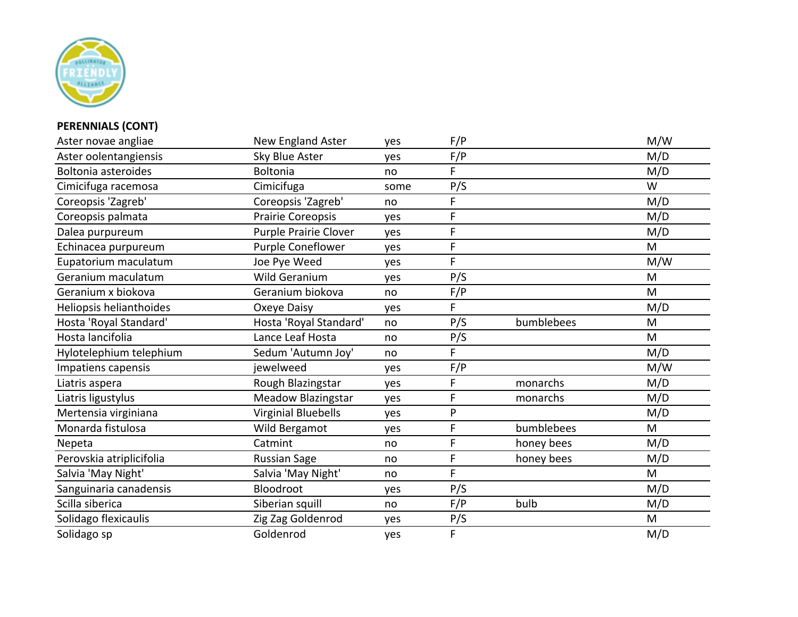

## **PERENNIALS (CONT)**

| Aster novae angliae        | New England Aster          | yes  | F/P |            | M/W |
|----------------------------|----------------------------|------|-----|------------|-----|
| Aster oolentangiensis      | Sky Blue Aster             | yes  | F/P |            | M/D |
| <b>Boltonia asteroides</b> | Boltonia                   | no   | F.  |            | M/D |
| Cimicifuga racemosa        | Cimicifuga                 | some | P/S |            | W   |
| Coreopsis 'Zagreb'         | Coreopsis 'Zagreb'         | no   | F   |            | M/D |
| Coreopsis palmata          | <b>Prairie Coreopsis</b>   | yes  | F   |            | M/D |
| Dalea purpureum            | Purple Prairie Clover      | yes  | F   |            | M/D |
| Echinacea purpureum        | Purple Coneflower          | yes  | F   |            | M   |
| Eupatorium maculatum       | Joe Pye Weed               | yes  | F   |            | M/W |
| Geranium maculatum         | Wild Geranium              | yes  | P/S |            | M   |
| Geranium x biokova         | Geranium biokova           | no   | F/P |            | M   |
| Heliopsis helianthoides    | Oxeye Daisy                | yes  | F.  |            | M/D |
| Hosta 'Royal Standard'     | Hosta 'Royal Standard'     | no   | P/S | bumblebees | M   |
| Hosta lancifolia           | Lance Leaf Hosta           | no   | P/S |            | M   |
| Hylotelephium telephium    | Sedum 'Autumn Joy'         | no   | F.  |            | M/D |
| Impatiens capensis         | jewelweed                  | yes  | F/P |            | M/W |
| Liatris aspera             | Rough Blazingstar          | yes  | F   | monarchs   | M/D |
| Liatris ligustylus         | <b>Meadow Blazingstar</b>  | yes  | F   | monarchs   | M/D |
| Mertensia virginiana       | <b>Virginial Bluebells</b> | yes  | P   |            | M/D |
| Monarda fistulosa          | Wild Bergamot              | yes  | F   | bumblebees | M   |
| Nepeta                     | Catmint                    | no   | F   | honey bees | M/D |
| Perovskia atriplicifolia   | <b>Russian Sage</b>        | no   | F   | honey bees | M/D |
| Salvia 'May Night'         | Salvia 'May Night'         | no   | F   |            | M   |
| Sanguinaria canadensis     | Bloodroot                  | yes  | P/S |            | M/D |
| Scilla siberica            | Siberian squill            | no   | F/P | bulb       | M/D |
| Solidago flexicaulis       | Zig Zag Goldenrod          | yes  | P/S |            | M   |
| Solidago sp                | Goldenrod                  | yes  | F.  |            | M/D |